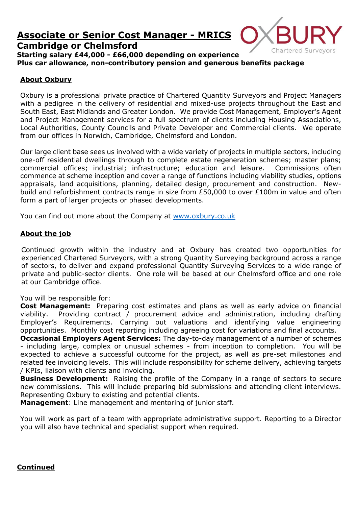# **Associate or Senior Cost Manager - MRICS Cambridge or Chelmsford**



**Starting salary £44,000 - £66,000 depending on experience Plus car allowance, non-contributory pension and generous benefits package**

## **About Oxbury**

Oxbury is a professional private practice of Chartered Quantity Surveyors and Project Managers with a pedigree in the delivery of residential and mixed-use projects throughout the East and South East, East Midlands and Greater London. We provide Cost Management, Employer's Agent and Project Management services for a full spectrum of clients including Housing Associations, Local Authorities, County Councils and Private Developer and Commercial clients. We operate from our offices in Norwich, Cambridge, Chelmsford and London.

Our large client base sees us involved with a wide variety of projects in multiple sectors, including one-off residential dwellings through to complete estate regeneration schemes; master plans; commercial offices; industrial; infrastructure; education and leisure. Commissions often commence at scheme inception and cover a range of functions including viability studies, options appraisals, land acquisitions, planning, detailed design, procurement and construction. Newbuild and refurbishment contracts range in size from £50,000 to over £100m in value and often form a part of larger projects or phased developments.

You can find out more about the Company at [www.oxbury.co.uk](http://www.oxbury.co.uk/)

#### **About the job**

Continued growth within the industry and at Oxbury has created two opportunities for experienced Chartered Surveyors, with a strong Quantity Surveying background across a range of sectors, to deliver and expand professional Quantity Surveying Services to a wide range of private and public-sector clients. One role will be based at our Chelmsford office and one role at our Cambridge office.

You will be responsible for:

**Cost Management:** Preparing cost estimates and plans as well as early advice on financial viability. Providing contract / procurement advice and administration, including drafting Employer's Requirements. Carrying out valuations and identifying value engineering opportunities. Monthly cost reporting including agreeing cost for variations and final accounts.

**Occasional Employers Agent Services:** The day-to-day management of a number of schemes - including large, complex or unusual schemes - from inception to completion. You will be expected to achieve a successful outcome for the project, as well as pre-set milestones and related fee invoicing levels. This will include responsibility for scheme delivery, achieving targets / KPIs, liaison with clients and invoicing.

**Business Development:** Raising the profile of the Company in a range of sectors to secure new commissions. This will include preparing bid submissions and attending client interviews. Representing Oxbury to existing and potential clients.

**Management**: Line management and mentoring of junior staff.

You will work as part of a team with appropriate administrative support. Reporting to a Director you will also have technical and specialist support when required.

## **Continued**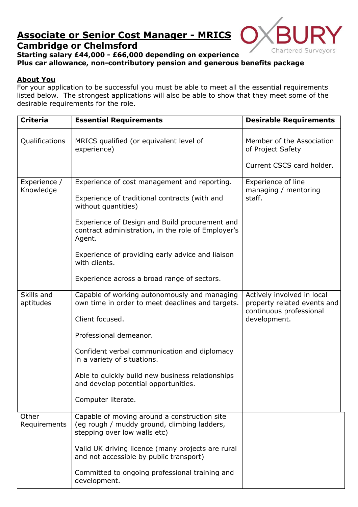# **Associate or Senior Cost Manager - MRICS Cambridge or Chelmsford**



## **Starting salary £44,000 - £66,000 depending on experience Plus car allowance, non-contributory pension and generous benefits package**

## **About You**

For your application to be successful you must be able to meet all the essential requirements listed below. The strongest applications will also be able to show that they meet some of the desirable requirements for the role.

| <b>Criteria</b>           | <b>Essential Requirements</b>                                                                                                         | <b>Desirable Requirements</b>                                                        |
|---------------------------|---------------------------------------------------------------------------------------------------------------------------------------|--------------------------------------------------------------------------------------|
| Qualifications            | MRICS qualified (or equivalent level of<br>experience)                                                                                | Member of the Association<br>of Project Safety                                       |
|                           |                                                                                                                                       | Current CSCS card holder.                                                            |
| Experience /<br>Knowledge | Experience of cost management and reporting.<br>Experience of traditional contracts (with and                                         | Experience of line<br>managing / mentoring<br>staff.                                 |
|                           | without quantities)<br>Experience of Design and Build procurement and<br>contract administration, in the role of Employer's<br>Agent. |                                                                                      |
|                           | Experience of providing early advice and liaison<br>with clients.                                                                     |                                                                                      |
|                           | Experience across a broad range of sectors.                                                                                           |                                                                                      |
| Skills and<br>aptitudes   | Capable of working autonomously and managing<br>own time in order to meet deadlines and targets.                                      | Actively involved in local<br>property related events and<br>continuous professional |
|                           | Client focused.                                                                                                                       | development.                                                                         |
|                           | Professional demeanor.                                                                                                                |                                                                                      |
|                           | Confident verbal communication and diplomacy<br>in a variety of situations.                                                           |                                                                                      |
|                           | Able to quickly build new business relationships<br>and develop potential opportunities.                                              |                                                                                      |
|                           | Computer literate.                                                                                                                    |                                                                                      |
| Other<br>Requirements     | Capable of moving around a construction site<br>(eg rough / muddy ground, climbing ladders,<br>stepping over low walls etc)           |                                                                                      |
|                           | Valid UK driving licence (many projects are rural<br>and not accessible by public transport)                                          |                                                                                      |
|                           | Committed to ongoing professional training and<br>development.                                                                        |                                                                                      |